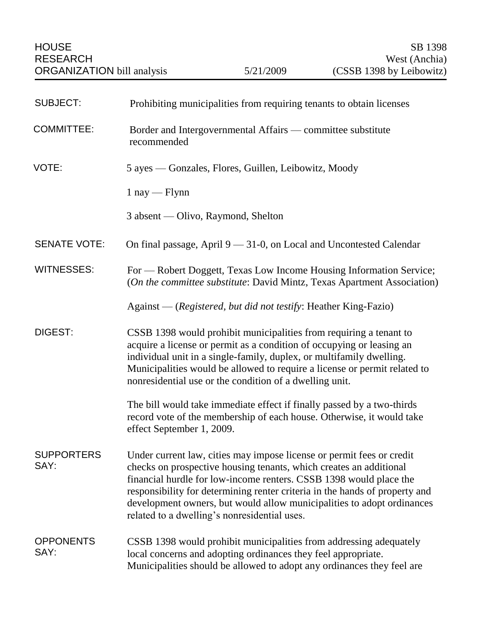| <b>SUBJECT:</b>           | Prohibiting municipalities from requiring tenants to obtain licenses                                                                                                                                                                                                                                                                                                                                                       |
|---------------------------|----------------------------------------------------------------------------------------------------------------------------------------------------------------------------------------------------------------------------------------------------------------------------------------------------------------------------------------------------------------------------------------------------------------------------|
| <b>COMMITTEE:</b>         | Border and Intergovernmental Affairs - committee substitute<br>recommended                                                                                                                                                                                                                                                                                                                                                 |
| VOTE:                     | 5 ayes — Gonzales, Flores, Guillen, Leibowitz, Moody                                                                                                                                                                                                                                                                                                                                                                       |
|                           | $1 \text{ nay} - \text{Flynn}$                                                                                                                                                                                                                                                                                                                                                                                             |
|                           | 3 absent — Olivo, Raymond, Shelton                                                                                                                                                                                                                                                                                                                                                                                         |
| <b>SENATE VOTE:</b>       | On final passage, April $9 - 31-0$ , on Local and Uncontested Calendar                                                                                                                                                                                                                                                                                                                                                     |
| <b>WITNESSES:</b>         | For — Robert Doggett, Texas Low Income Housing Information Service;<br>(On the committee substitute: David Mintz, Texas Apartment Association)                                                                                                                                                                                                                                                                             |
|                           | Against — (Registered, but did not testify: Heather King-Fazio)                                                                                                                                                                                                                                                                                                                                                            |
| DIGEST:                   | CSSB 1398 would prohibit municipalities from requiring a tenant to<br>acquire a license or permit as a condition of occupying or leasing an<br>individual unit in a single-family, duplex, or multifamily dwelling.<br>Municipalities would be allowed to require a license or permit related to<br>nonresidential use or the condition of a dwelling unit.                                                                |
|                           | The bill would take immediate effect if finally passed by a two-thirds<br>record vote of the membership of each house. Otherwise, it would take<br>effect September 1, 2009.                                                                                                                                                                                                                                               |
| <b>SUPPORTERS</b><br>SAY: | Under current law, cities may impose license or permit fees or credit<br>checks on prospective housing tenants, which creates an additional<br>financial hurdle for low-income renters. CSSB 1398 would place the<br>responsibility for determining renter criteria in the hands of property and<br>development owners, but would allow municipalities to adopt ordinances<br>related to a dwelling's nonresidential uses. |
| <b>OPPONENTS</b><br>SAY:  | CSSB 1398 would prohibit municipalities from addressing adequately<br>local concerns and adopting ordinances they feel appropriate.<br>Municipalities should be allowed to adopt any ordinances they feel are                                                                                                                                                                                                              |